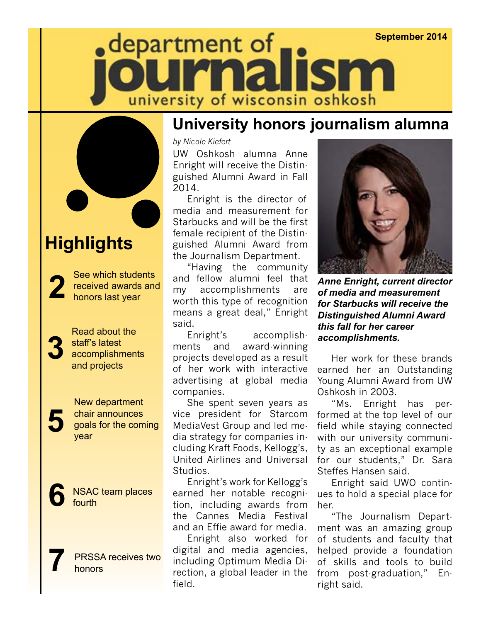## **September 2014** $\bullet$  department of **ISM** university of wisconsin oshkosh



## **Highlights**

See which students received awards and **2** honors last year

**3**

Read about the staff's latest accomplishments and projects

New department chair announces goals for the coming **5** year

**NSAC team places**<br>fourth

PRSSA receives two **7** honors

#### **University honors journalism alumna**

*by Nicole Kiefert*

UW Oshkosh alumna Anne Enright will receive the Distinguished Alumni Award in Fall 2014.

Enright is the director of media and measurement for Starbucks and will be the first female recipient of the Distinguished Alumni Award from the Journalism Department.

"Having the community and fellow alumni feel that my accomplishments are worth this type of recognition means a great deal," Enright said.

Enright's accomplishments and award-winning projects developed as a result of her work with interactive advertising at global media companies.

She spent seven years as vice president for Starcom MediaVest Group and led media strategy for companies including Kraft Foods, Kellogg's, United Airlines and Universal Studios.

Enright's work for Kellogg's earned her notable recognition, including awards from the Cannes Media Festival and an Effie award for media.

Enright also worked for digital and media agencies, including Optimum Media Direction, a global leader in the field.



*Anne Enright, current director of media and measurement for Starbucks will receive the Distinguished Alumni Award this fall for her career accomplishments.*

Her work for these brands earned her an Outstanding Young Alumni Award from UW Oshkosh in 2003.

"Ms. Enright has performed at the top level of our field while staying connected with our university community as an exceptional example for our students," Dr. Sara Steffes Hansen said.

Enright said UWO continues to hold a special place for her.

"The Journalism Department was an amazing group of students and faculty that helped provide a foundation of skills and tools to build from post-graduation," Enright said.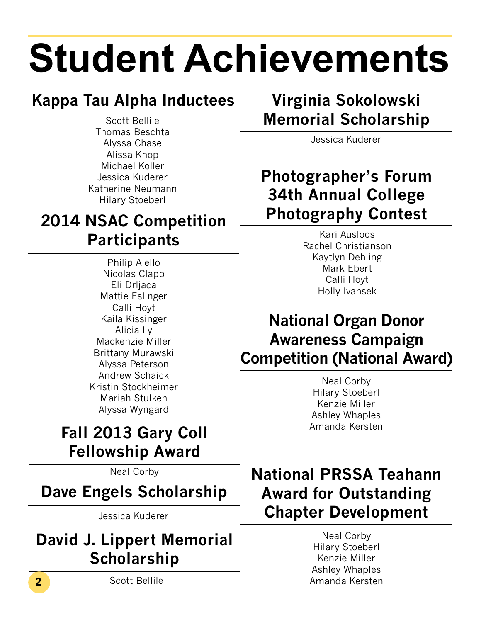# **Student Achievements**

## **Kappa Tau Alpha Inductees**

Scott Bellile Thomas Beschta Alyssa Chase Alissa Knop Michael Koller Jessica Kuderer Katherine Neumann Hilary Stoeberl

## **2014 NSAC Competition Participants**

Philip Aiello Nicolas Clapp Eli Drljaca Mattie Eslinger Calli Hoyt Kaila Kissinger Alicia Ly Mackenzie Miller Brittany Murawski Alyssa Peterson Andrew Schaick Kristin Stockheimer Mariah Stulken Alyssa Wyngard

## **Fall 2013 Gary Coll Fellowship Award**

Neal Corby

**Dave Engels Scholarship**

Jessica Kuderer

## **David J. Lippert Memorial Scholarship**

**2** Scott Bellile

## **Virginia Sokolowski Memorial Scholarship**

Jessica Kuderer

### **Photographer's Forum 34th Annual College Photography Contest**

Kari Ausloos Rachel Christianson Kaytlyn Dehling Mark Ebert Calli Hoyt Holly Ivansek

## **National Organ Donor Awareness Campaign Competition (National Award)**

Neal Corby Hilary Stoeberl Kenzie Miller Ashley Whaples Amanda Kersten

## **National PRSSA Teahann Award for Outstanding Chapter Development**

Neal Corby Hilary Stoeberl Kenzie Miller Ashley Whaples Amanda Kersten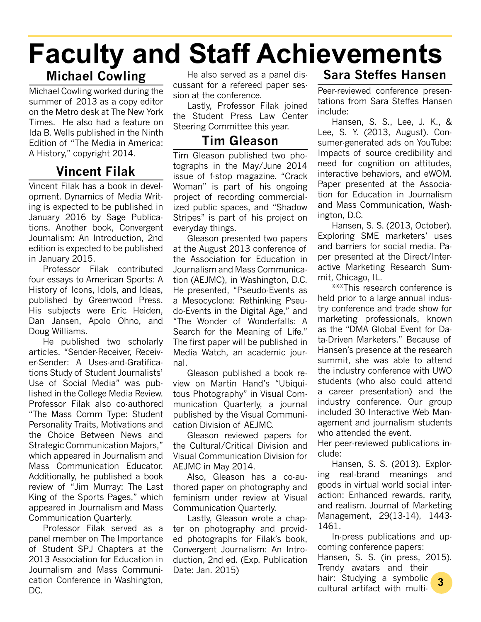## **Faculty and Staff Achievements**

#### **Michael Cowling**

Michael Cowling worked during the summer of 2013 as a copy editor on the Metro desk at The New York Times. He also had a feature on Ida B. Wells published in the Ninth Edition of "The Media in America: A History," copyright 2014.

#### **Vincent Filak**

Vincent Filak has a book in development. Dynamics of Media Writing is expected to be published in January 2016 by Sage Publications. Another book, Convergent Journalism: An Introduction, 2nd edition is expected to be published in January 2015.

Professor Filak contributed four essays to American Sports: A History of Icons, Idols, and Ideas, published by Greenwood Press. His subjects were Eric Heiden, Dan Jansen, Apolo Ohno, and Doug Williams.

He published two scholarly articles. "Sender-Receiver, Receiver-Sender: A Uses-and-Gratifications Study of Student Journalists' Use of Social Media" was published in the College Media Review. Professor Filak also co-authored "The Mass Comm Type: Student Personality Traits, Motivations and the Choice Between News and Strategic Communication Majors," which appeared in Journalism and Mass Communication Educator. Additionally, he published a book review of "Jim Murray: The Last King of the Sports Pages," which appeared in Journalism and Mass Communication Quarterly.

Professor Filak served as a panel member on The Importance of Student SPJ Chapters at the 2013 Association for Education in Journalism and Mass Communication Conference in Washington, DC.

He also served as a panel discussant for a refereed paper session at the conference.

Lastly, Professor Filak joined the Student Press Law Center Steering Committee this year.

#### **Tim Gleason**

Tim Gleason published two photographs in the May/June 2014 issue of f-stop magazine. "Crack Woman" is part of his ongoing project of recording commercialized public spaces, and "Shadow Stripes" is part of his project on everyday things.

Gleason presented two papers at the August 2013 conference of the Association for Education in Journalism and Mass Communication (AEJMC), in Washington, D.C. He presented, "Pseudo-Events as a Mesocyclone: Rethinking Pseudo-Events in the Digital Age," and "The Wonder of Wonderfalls: A Search for the Meaning of Life." The first paper will be published in Media Watch, an academic journal.

Gleason published a book review on Martin Hand's "Ubiquitous Photography" in Visual Communication Quarterly, a journal published by the Visual Communication Division of AEJMC.

Gleason reviewed papers for the Cultural/Critical Division and Visual Communication Division for AEJMC in May 2014.

Also, Gleason has a co-authored paper on photography and feminism under review at Visual Communication Quarterly.

Lastly, Gleason wrote a chapter on photography and provided photographs for Filak's book, Convergent Journalism: An Introduction, 2nd ed. (Exp. Publication Date: Jan. 2015)

#### **Sara Steffes Hansen**

Peer-reviewed conference presentations from Sara Steffes Hansen include:

Hansen, S. S., Lee, J. K., & Lee, S. Y. (2013, August). Consumer-generated ads on YouTube: Impacts of source credibility and need for cognition on attitudes, interactive behaviors, and eWOM. Paper presented at the Association for Education in Journalism and Mass Communication, Washington, D.C.

Hansen, S. S. (2013, October). Exploring SME marketers' uses and barriers for social media. Paper presented at the Direct/Interactive Marketing Research Summit, Chicago, IL.

\*\*\*This research conference is held prior to a large annual industry conference and trade show for marketing professionals, known as the "DMA Global Event for Data-Driven Marketers." Because of Hansen's presence at the research summit, she was able to attend the industry conference with UWO students (who also could attend a career presentation) and the industry conference. Our group included 30 Interactive Web Management and journalism students who attended the event.

Her peer-reviewed publications include:

Hansen, S. S. (2013). Exploring real-brand meanings and goods in virtual world social interaction: Enhanced rewards, rarity, and realism. Journal of Marketing Management, 29(13-14), 1443- 1461.

In-press publications and upcoming conference papers:

Hansen, S. S. (in press, 2015). Trendy avatars and their

**3** hair: Studying a symbolic cultural artifact with multi-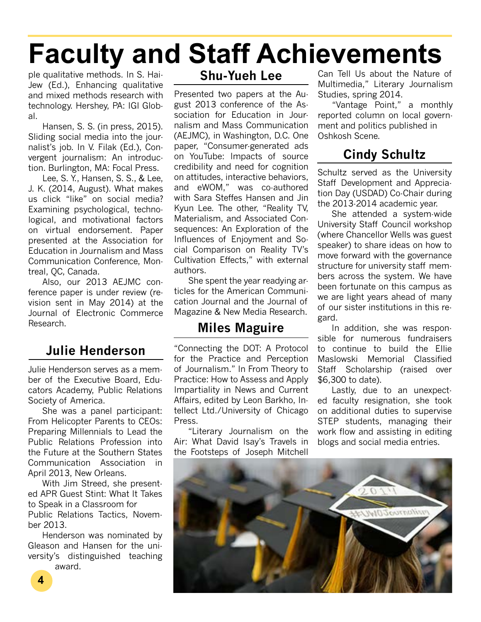## **Faculty and Staff Achievements**

ple qualitative methods. In S. Hai-Jew (Ed.), Enhancing qualitative and mixed methods research with technology. Hershey, PA: IGI Global.

Hansen, S. S. (in press, 2015). Sliding social media into the journalist's job. In V. Filak (Ed.), Convergent journalism: An introduction. Burlington, MA: Focal Press.

Lee, S. Y., Hansen, S. S., & Lee, J. K. (2014, August). What makes us click "like" on social media? Examining psychological, technological, and motivational factors on virtual endorsement. Paper presented at the Association for Education in Journalism and Mass Communication Conference, Montreal, QC, Canada.

Also, our 2013 AEJMC conference paper is under review (revision sent in May 2014) at the Journal of Electronic Commerce Research.

#### **Julie Henderson**

Julie Henderson serves as a member of the Executive Board, Educators Academy, Public Relations Society of America.

She was a panel participant: From Helicopter Parents to CEOs: Preparing Millennials to Lead the Public Relations Profession into the Future at the Southern States Communication Association in April 2013, New Orleans.

With Jim Streed, she presented APR Guest Stint: What It Takes to Speak in a Classroom for Public Relations Tactics, November 2013.

Henderson was nominated by Gleason and Hansen for the university's distinguished teaching award.

#### **Shu-Yueh Lee**

Presented two papers at the August 2013 conference of the Association for Education in Journalism and Mass Communication (AEJMC), in Washington, D.C. One paper, "Consumer-generated ads on YouTube: Impacts of source credibility and need for cognition on attitudes, interactive behaviors, and eWOM," was co-authored with Sara Steffes Hansen and Jin Kyun Lee. The other, "Reality TV, Materialism, and Associated Consequences: An Exploration of the Influences of Enjoyment and Social Comparison on Reality TV's Cultivation Effects," with external authors.

She spent the year readying articles for the American Communication Journal and the Journal of Magazine & New Media Research.

#### **Miles Maguire**

"Connecting the DOT: A Protocol for the Practice and Perception of Journalism." In From Theory to Practice: How to Assess and Apply Impartiality in News and Current Affairs, edited by Leon Barkho, Intellect Ltd./University of Chicago Press.

"Literary Journalism on the Air: What David Isay's Travels in the Footsteps of Joseph Mitchell Can Tell Us about the Nature of Multimedia," Literary Journalism Studies, spring 2014.

"Vantage Point," a monthly reported column on local government and politics published in Oshkosh Scene.

#### **Cindy Schultz**

Schultz served as the University Staff Development and Appreciation Day (USDAD) Co-Chair during the 2013-2014 academic year.

She attended a system-wide University Staff Council workshop (where Chancellor Wells was guest speaker) to share ideas on how to move forward with the governance structure for university staff members across the system. We have been fortunate on this campus as we are light years ahead of many of our sister institutions in this regard.

In addition, she was responsible for numerous fundraisers to continue to build the Ellie Maslowski Memorial Classified Staff Scholarship (raised over \$6,300 to date).

Lastly, due to an unexpected faculty resignation, she took on additional duties to supervise STEP students, managing their work flow and assisting in editing blogs and social media entries.

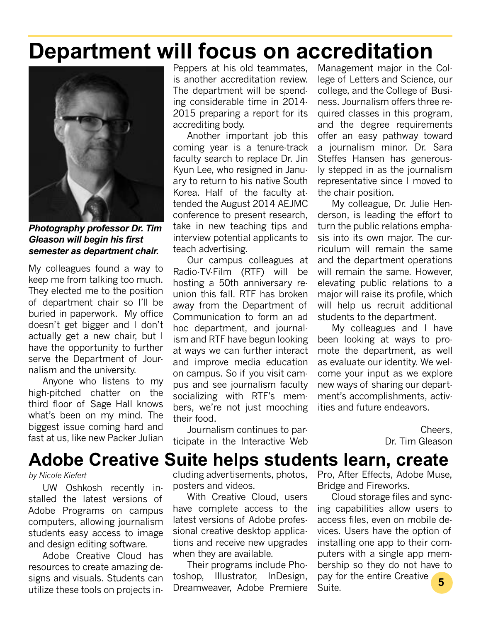## **Department will focus on accreditation**



*Photography professor Dr. Tim Gleason will begin his first semester as department chair.*

My colleagues found a way to keep me from talking too much. They elected me to the position of department chair so I'll be buried in paperwork. My office doesn't get bigger and I don't actually get a new chair, but I have the opportunity to further serve the Department of Journalism and the university.

Anyone who listens to my high-pitched chatter on the third floor of Sage Hall knows what's been on my mind. The biggest issue coming hard and fast at us, like new Packer Julian

Peppers at his old teammates, is another accreditation review. The department will be spending considerable time in 2014- 2015 preparing a report for its accrediting body.

Another important job this coming year is a tenure-track faculty search to replace Dr. Jin Kyun Lee, who resigned in January to return to his native South Korea. Half of the faculty attended the August 2014 AEJMC conference to present research, take in new teaching tips and interview potential applicants to teach advertising.

Our campus colleagues at Radio-TV-Film (RTF) will be hosting a 50th anniversary reunion this fall. RTF has broken away from the Department of Communication to form an ad hoc department, and journalism and RTF have begun looking at ways we can further interact and improve media education on campus. So if you visit campus and see journalism faculty socializing with RTF's members, we're not just mooching their food.

Journalism continues to participate in the Interactive Web

Management major in the College of Letters and Science, our college, and the College of Business. Journalism offers three required classes in this program, and the degree requirements offer an easy pathway toward a journalism minor. Dr. Sara Steffes Hansen has generously stepped in as the journalism representative since I moved to the chair position.

My colleague, Dr. Julie Henderson, is leading the effort to turn the public relations emphasis into its own major. The curriculum will remain the same and the department operations will remain the same. However, elevating public relations to a major will raise its profile, which will help us recruit additional students to the department.

My colleagues and I have been looking at ways to promote the department, as well as evaluate our identity. We welcome your input as we explore new ways of sharing our department's accomplishments, activities and future endeavors.

> Cheers, Dr. Tim Gleason

## **Adobe Creative Suite helps students learn, create**

#### *by Nicole Kiefert*

UW Oshkosh recently installed the latest versions of Adobe Programs on campus computers, allowing journalism students easy access to image and design editing software.

Adobe Creative Cloud has resources to create amazing designs and visuals. Students can utilize these tools on projects including advertisements, photos, posters and videos.

With Creative Cloud, users have complete access to the latest versions of Adobe professional creative desktop applications and receive new upgrades when they are available.

Their programs include Photoshop, Illustrator, InDesign, Dreamweaver, Adobe Premiere Pro, After Effects, Adobe Muse, Bridge and Fireworks.

Cloud storage files and syncing capabilities allow users to access files, even on mobile devices. Users have the option of installing one app to their computers with a single app membership so they do not have to pay for the entire Creative Suite. **5**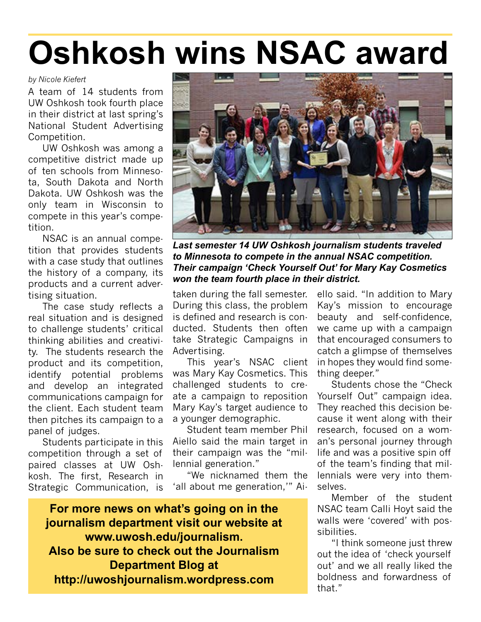## **Oshkosh wins NSAC award**

#### *by Nicole Kiefert*

A team of 14 students from UW Oshkosh took fourth place in their district at last spring's National Student Advertising Competition.

UW Oshkosh was among a competitive district made up of ten schools from Minnesota, South Dakota and North Dakota. UW Oshkosh was the only team in Wisconsin to compete in this year's competition.

NSAC is an annual competition that provides students with a case study that outlines the history of a company, its products and a current advertising situation.

The case study reflects a real situation and is designed to challenge students' critical thinking abilities and creativity. The students research the product and its competition, identify potential problems and develop an integrated communications campaign for the client. Each student team then pitches its campaign to a panel of judges.

Students participate in this competition through a set of paired classes at UW Oshkosh. The first, Research in Strategic Communication, is



*Last semester 14 UW Oshkosh journalism students traveled to Minnesota to compete in the annual NSAC competition. Their campaign 'Check Yourself Out' for Mary Kay Cosmetics won the team fourth place in their district.*

taken during the fall semester. During this class, the problem is defined and research is conducted. Students then often take Strategic Campaigns in Advertising.

This year's NSAC client was Mary Kay Cosmetics. This challenged students to create a campaign to reposition Mary Kay's target audience to a younger demographic.

Student team member Phil Aiello said the main target in their campaign was the "millennial generation."

"We nicknamed them the 'all about me generation,'" Ai-

**For more news on what's going on in the journalism department visit our website at www.uwosh.edu/journalism. Also be sure to check out the Journalism Department Blog at http://uwoshjournalism.wordpress.com**

ello said. "In addition to Mary Kay's mission to encourage beauty and self-confidence, we came up with a campaign that encouraged consumers to catch a glimpse of themselves in hopes they would find something deeper."

Students chose the "Check Yourself Out" campaign idea. They reached this decision because it went along with their research, focused on a woman's personal journey through life and was a positive spin off of the team's finding that millennials were very into themselves.

Member of the student NSAC team Calli Hoyt said the walls were 'covered' with possibilities.

"I think someone just threw out the idea of 'check yourself out' and we all really liked the boldness and forwardness of that"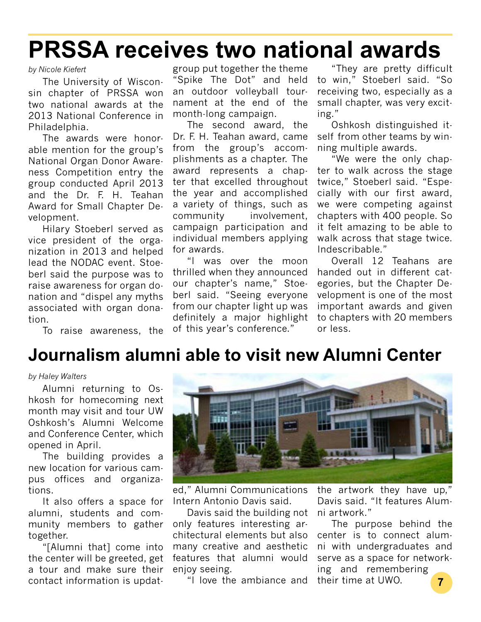## **PRSSA receives two national awards**

#### *by Nicole Kiefert*

The University of Wisconsin chapter of PRSSA won two national awards at the 2013 National Conference in Philadelphia.

The awards were honorable mention for the group's National Organ Donor Awareness Competition entry the group conducted April 2013 and the Dr. F. H. Teahan Award for Small Chapter Development.

Hilary Stoeberl served as vice president of the organization in 2013 and helped lead the NODAC event. Stoeberl said the purpose was to raise awareness for organ donation and "dispel any myths associated with organ donation.

group put together the theme "Spike The Dot" and held an outdoor volleyball tournament at the end of the month-long campaign.

The second award, the Dr. F. H. Teahan award, came from the group's accomplishments as a chapter. The award represents a chapter that excelled throughout the year and accomplished a variety of things, such as community involvement, campaign participation and individual members applying for awards.

"I was over the moon thrilled when they announced our chapter's name," Stoeberl said. "Seeing everyone from our chapter light up was definitely a major highlight of this year's conference."

"They are pretty difficult to win," Stoeberl said. "So receiving two, especially as a small chapter, was very exciting."

Oshkosh distinguished itself from other teams by winning multiple awards.

"We were the only chapter to walk across the stage twice," Stoeberl said. "Especially with our first award, we were competing against chapters with 400 people. So it felt amazing to be able to walk across that stage twice. Indescribable."

Overall 12 Teahans are handed out in different categories, but the Chapter Development is one of the most important awards and given to chapters with 20 members or less.

To raise awareness, the

### **Journalism alumni able to visit new Alumni Center**

#### *by Haley Walters*

Alumni returning to Oshkosh for homecoming next month may visit and tour UW Oshkosh's Alumni Welcome and Conference Center, which opened in April.

The building provides a new location for various campus offices and organizations.

It also offers a space for alumni, students and community members to gather together.

"[Alumni that] come into the center will be greeted, get a tour and make sure their contact information is updat-



ed," Alumni Communications Intern Antonio Davis said.

Davis said the building not only features interesting architectural elements but also many creative and aesthetic features that alumni would enjoy seeing.

"I love the ambiance and

the artwork they have up," Davis said. "It features Alumni artwork."

The purpose behind the center is to connect alumni with undergraduates and serve as a space for networking and remembering

their time at UWO. **7**